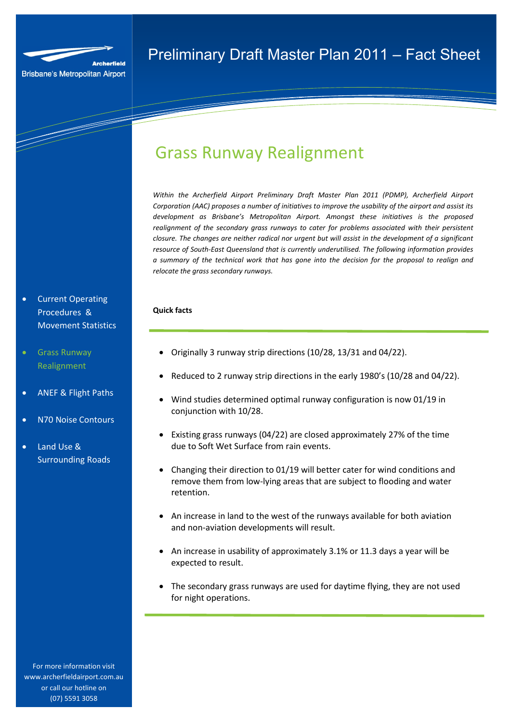

and the company of the company of the company of the company of the company of the company of the company of the company of the company of the company of the company of the company of the company of the company of the comp

# Grass Runway Realignment

*Within the Archerfield Airport Preliminary Draft Master Plan 2011 (PDMP), Archerfield Airport Corporation (AAC) proposes a number of initiatives to improve the usability of the airport and assist its development as Brisbane's Metropolitan Airport. Amongst these initiatives is the proposed realignment of the secondary grass runways to cater for problems associated with their persistent closure. The changes are neither radical nor urgent but will assist in the development of a significant resource of South-East Queensland that is currently underutilised. The following information provides a summary of the technical work that has gone into the decision for the proposal to realign and relocate the grass secondary runways.* 

# **Quick facts**

- Originally 3 runway strip directions (10/28, 13/31 and 04/22).
- Reduced to 2 runway strip directions in the early 1980's (10/28 and 04/22).
- Wind studies determined optimal runway configuration is now 01/19 in conjunction with 10/28.
- Existing grass runways (04/22) are closed approximately 27% of the time due to Soft Wet Surface from rain events.
- Changing their direction to 01/19 will better cater for wind conditions and remove them from low-lying areas that are subject to flooding and water retention.
- An increase in land to the west of the runways available for both aviation and non-aviation developments will result.
- An increase in usability of approximately 3.1% or 11.3 days a year will be expected to result.
- The secondary grass runways are used for daytime flying, they are not used for night operations.

• Current Operating Procedures & Movement Statistics

- Grass Runway Realignment
- ANEF & Flight Paths
- N70 Noise Contours
- Land Use & Surrounding Roads

For more information visit www.archerfieldairport.com.au or call our hotline on (07) 5591 3058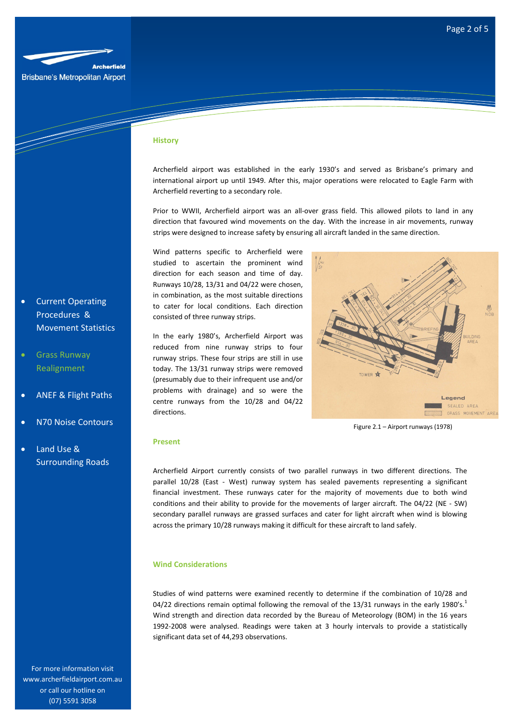

|<br>|-<br>|-

#### **History**

Archerfield airport was established in the early 1930's and served as Brisbane's primary and international airport up until 1949. After this, major operations were relocated to Eagle Farm with Archerfield reverting to a secondary role.

Prior to WWII, Archerfield airport was an all-over grass field. This allowed pilots to land in any direction that favoured wind movements on the day. With the increase in air movements, runway strips were designed to increase safety by ensuring all aircraft landed in the same direction.

Wind patterns specific to Archerfield were studied to ascertain the prominent wind direction for each season and time of day. Runways 10/28, 13/31 and 04/22 were chosen, in combination, as the most suitable directions to cater for local conditions. Each direction consisted of three runway strips.

In the early 1980's, Archerfield Airport was reduced from nine runway strips to four runway strips. These four strips are still in use today. The 13/31 runway strips were removed (presumably due to their infrequent use and/or problems with drainage) and so were the centre runways from the 10/28 and 04/22 directions.

 $\triangle$ Legend SEALED AREA GRASS MOVEMENT ARE

Figure 2.1 – Airport runways (1978)

#### **Present**

Archerfield Airport currently consists of two parallel runways in two different directions. The parallel 10/28 (East - West) runway system has sealed pavements representing a significant financial investment. These runways cater for the majority of movements due to both wind conditions and their ability to provide for the movements of larger aircraft. The 04/22 (NE - SW) secondary parallel runways are grassed surfaces and cater for light aircraft when wind is blowing across the primary 10/28 runways making it difficult for these aircraft to land safely.

### **Wind Considerations**

Studies of wind patterns were examined recently to determine if the combination of 10/28 and 04/22 directions remain optimal following the removal of the 13/31 runways in the early 1980's.<sup>1</sup> Wind strength and direction data recorded by the Bureau of Meteorology (BOM) in the 16 years 1992-2008 were analysed. Readings were taken at 3 hourly intervals to provide a statistically significant data set of 44,293 observations.

- Current Operating Procedures & Movement Statistics
- Grass Runway Realignment
- ANEF & Flight Paths
- N70 Noise Contours
- Land Use & Surrounding Roads

For more information visit www.archerfieldairport.com.au or call our hotline on (07) 5591 3058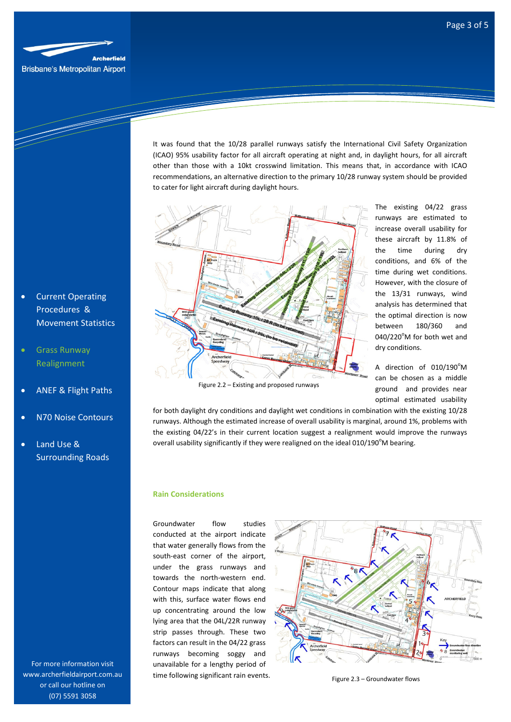

• Current Operating Procedures & Movement Statistics

- Grass Runway Realignment
- ANEF & Flight Paths
- N70 Noise Contours
- Land Use & Surrounding Roads

For more information visit www.archerfieldairport.com.au or call our hotline on (07) 5591 3058

It was found that the 10/28 parallel runways satisfy the International Civil Safety Organization (ICAO) 95% usability factor for all aircraft operating at night and, in daylight hours, for all aircraft other than those with a 10kt crosswind limitation. This means that, in accordance with ICAO recommendations, an alternative direction to the primary 10/28 runway system should be provided to cater for light aircraft during daylight hours.



The existing 04/22 grass runways are estimated to increase overall usability for these aircraft by 11.8% of the time during dry conditions, and 6% of the time during wet conditions. However, with the closure of the 13/31 runways, wind analysis has determined that the optimal direction is now between 180/360 and  $040/220^{\circ}$ M for both wet and dry conditions.

A direction of  $010/190^{\circ}$ M can be chosen as a middle ground and provides near optimal estimated usability

for both daylight dry conditions and daylight wet conditions in combination with the existing 10/28 runways. Although the estimated increase of overall usability is marginal, around 1%, problems with the existing 04/22's in their current location suggest a realignment would improve the runways

overall usability significantly if they were realigned on the ideal  $010/190^{\circ}$ M bearing.

#### **Rain Considerations**

Groundwater flow studies conducted at the airport indicate that water generally flows from the south-east corner of the airport, under the grass runways and towards the north-western end. Contour maps indicate that along with this, surface water flows end up concentrating around the low lying area that the 04L/22R runway strip passes through. These two factors can result in the 04/22 grass runways becoming soggy and unavailable for a lengthy period of time following significant rain events.



Figure 2.3 – Groundwater flows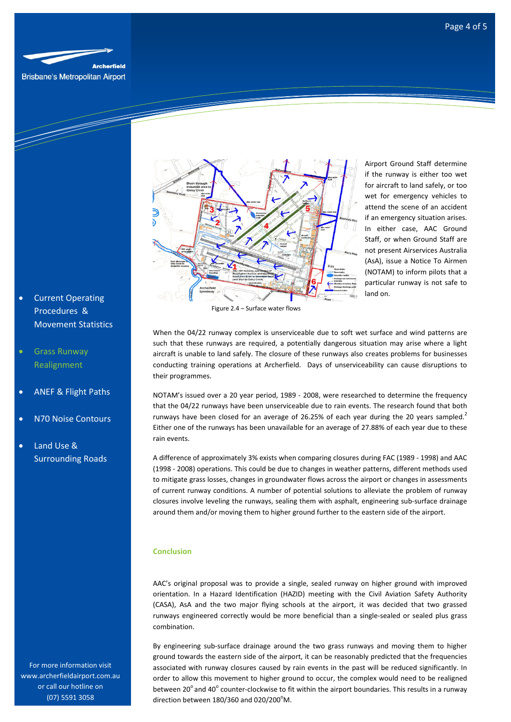

Brisbane's Metropolitan Airport

e de la década de la década de la década de la década de la década de la década de la década de la década de l<br>La década de la década de la década de la década de la década de la década de la década de la década de la déc

Airport Ground Staff determine if the runway is either too wet for aircraft to land safely, or too wet for emergency vehicles to attend the scene of an accident if an emergency situation arises. In either case, AAC Ground Staff, or when Ground Staff are not present Airservices Australia (AsA), issue a Notice To Airmen (NOTAM) to inform pilots that a particular runway is not safe to land on.

Figure 2.4 – Surface water flows

When the 04/22 runway complex is unserviceable due to soft wet surface and wind patterns are such that these runways are required, a potentially dangerous situation may arise where a light aircraft is unable to land safely. The closure of these runways also creates problems for businesses conducting training operations at Archerfield. Days of unserviceability can cause disruptions to their programmes.

NOTAM's issued over a 20 year period, 1989 - 2008, were researched to determine the frequency that the 04/22 runways have been unserviceable due to rain events. The research found that both runways have been closed for an average of 26.25% of each year during the 20 years sampled.<sup>2</sup> Either one of the runways has been unavailable for an average of 27.88% of each year due to these rain events.

A difference of approximately 3% exists when comparing closures during FAC (1989 - 1998) and AAC (1998 - 2008) operations. This could be due to changes in weather patterns, different methods used to mitigate grass losses, changes in groundwater flows across the airport or changes in assessments of current runway conditions. A number of potential solutions to alleviate the problem of runway closures involve leveling the runways, sealing them with asphalt, engineering sub-surface drainage around them and/or moving them to higher ground further to the eastern side of the airport.

## **Conclusion**

AAC's original proposal was to provide a single, sealed runway on higher ground with improved orientation. In a Hazard Identification (HAZID) meeting with the Civil Aviation Safety Authority (CASA), AsA and the two major flying schools at the airport, it was decided that two grassed runways engineered correctly would be more beneficial than a single-sealed or sealed plus grass combination.

By engineering sub-surface drainage around the two grass runways and moving them to higher ground towards the eastern side of the airport, it can be reasonably predicted that the frequencies associated with runway closures caused by rain events in the past will be reduced significantly. In order to allow this movement to higher ground to occur, the complex would need to be realigned between 20 $^{\circ}$  and 40 $^{\circ}$  counter-clockwise to fit within the airport boundaries. This results in a runway direction between  $180/360$  and  $020/200^{\circ}$ M.

**Current Operating** Procedures & Movement Statistics

# • Grass Runway Realignment

- ANEF & Flight Paths
- N70 Noise Contours
- Land Use & Surrounding Roads

For more information visit www.archerfieldairport.com.au or call our hotline on (07) 5591 3058